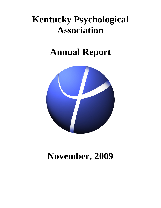# **Kentucky Psychological Association**

# **Annual Report**



# **November, 2009**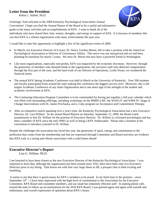# **Letter from the President**

Robin L. Sublett, Ph.D.

Greetings! And welcome to the 2009 Kentucky Psychological Association Annual Convention! I hope you find the Annual Report of the Board to be a useful and informative guide to the many activities and accomplishments of KPA. I want to thank all of the



individuals who have shared their time, money, thoughts, and energy in support of KPA. It is because of members like you that KPA is a vibrant organization with many achievements this past year.

I would like to take this opportunity to highlight a few of the significant events of 2009:

- In March, our Executive Director of 8 years, Dr. Nancy Gordon Moore, left to take a position with the American Psychological Association as Director of Governance Affairs. This move was not unexpected and we had been planning he transition for nearly 2 years. We miss Dr. Moore but now have a powerful friend in Washington.
- Like most organizations, especially non-profits, KPA was impacted by the economic downturn. However, through the generosity of members who donated funds to the organization, the executive staff who deferred compensation through the first part of the year, and the hard work of our Director of Operations, Leslie Proasi, we weathered the financial storm.
- The annual KPA Spring Academic Conference was held in March at the University of Kentucky. Over 200 students and faculty participated from around the state making this conference the biggest success ever! Moreover, this is the largest Academic Conference of any State Organization and is one more sign of the strength of the student and academic involvement in KPA.
- The Continuing Education Program Committee is to be commended for having put together a full-year calendar which was filled with outstanding offerings, including workshops on the MMPI-2-RF, the WAIS-IV and WMS-IV, Stage of Change Interventions with Dr. James Prochaska, and a 2-day program on Acceptance and Commitment Therapy.
- After an exhaustive search spanning over a year's time, the Kentucky Psychological Association has a new Executive Director, Dr. Lisa Willner! At the annual Board Retreat on Saturday, September 12, 2009, the Board voted unanimously to hire Dr. Willner for the position of Executive Director. Dr. Willner is a licensed psychologist and has been a member of KPA since the mid 1990's as well as being a KPA Ambassador. Please take a moment at the convention to introduce yourself to Dr. Willner.

Despite the challenges the association has faced this year, the generosity of spirit, energy and commitment to the profession that comes from the membership and that are expressed through Committee and Board activities are evidence that KPA truly is a strong and vibrant association with a solid future ahead!

# **Executive Director's Report**

Lisa G. Willner, Ph.D.

I am honored to have been chosen as the new Executive Director of the Kentucky Psychological Association. I was surprised to learn that, although the organization has been around since 1932, there have been only two Executive Directors prior to my hiring. That leaves me with four very large shoes to fill, a prospect that is both exciting and humbling.

 It seems to me that there is good reason for KPA's members to be proud. In my brief time in the position – since September  $14<sup>th</sup>$  -- I have been impressed with the high level of commitment to the Association by the Executive Committee, KPA Board and committee members, and our small but eminently efficient staff. In making phone calls around the state to follow up on nominations for the 2010 KPA Board, I was greeted again and again with warmth and enthusiasm, and overall expressions of optimism about KPA's future.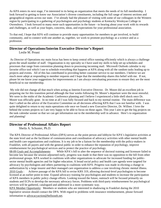As KPA enters its next stage, I'm interested in its being an organization that meets the needs of its full membership. I look forward to getting to know our Association's diverse constituents, including the full range of interest sections and geographical regions across our state. I've already had the pleasure of visiting with some of our colleagues in the Western region by participating in a gathering of psychologists and psychology students at Kentucky Wesleyan College in Owensboro. I look forward to many more such opportunities in the future - to hearing about your work with its rewards and challenges, as well as your hopes, concerns, ideas, and expectations for your professional association.

To that end, I hope that KPA will continue to provide many opportunities for members to get involved, to build community, and to connect with one another as, together, we work to promote psychology as a science and as a profession.

# **Director of Operations/Interim Executive Director's Report**

Leslie M. Proasi

 As Director of Operations my main focus has been to keep central office running efficiently which is always a challenge given the small number of staff. Organization is my specialty so I have used my skills to help set up schedules and processes that range from convention planning down to processing incoming mail. Microsoft Outlook calendar is my favorite office tool which I use to schedule everything that happens at KPA along with all the random tasks leading up to projects and events. All of this has contributed to providing better customer service to our members. I believe we are much more adept at responding to member requests and I hope that the membership shares this belief with me. If not, please let me know your suggestions for improvements as I am always reevaluating processes to ensure they are the most beneficial to our membership.

 My role did not change all that much when acting as Interim Executive Director. Dr. Moore did an excellent job in preparing me for this transition period although the four weeks following Dr. Moore's departure were the most stressful. We were in the midst of the Academic Conference planning and I believe I experienced a little shell shock once Dr. Moore was officially gone. In no time at all I was fully focused and back to my normal routine. The main difference was that I called on the advice of the Executive Committee on all decisions affecting KPA that I was not familiar with. I was quite delighted to return to my main operations role once we found a new Executive Director, Dr. Willner. I love the behind the scenes projects so I am very happy to be able to focus on those again. This year I aim to get the big projects on the task calendar sooner so that we can get information out to the membership well in advance. Here's to organization and planning!

# **Director of Professional Affairs Report**

Sheila A. Schuster, Ph.D.

The KPA Director of Professional Affairs (DPA) serves as the point person and lobbyist for KPA's legislative activities at the state level and as the facilitator of communication and coordination of advocacy activities with other mental health and health care organizations and coalitions. It is my job to be a liaison for the membership with the policy-makers in Frankfort, with all payers and with the general public in order to enhance the reputation of psychology, improve reimbursement for psychological services and to protect the practice of psychology.

08-09 Goals and Accomplishments: While KPA's bill to alter the sequence of doctoral training and licensure failed to become law because the session adjourned early, progress was made in that there was no opposition to the bill from other professional groups. KPA worked in coalitions with other organizations to advocate for increased funding for publicsector mental health agencies and for higher education. A broad social policy and health care agenda were targeted for advocacy by psychologists and others partnering in coalitions with KPA. Progress was made in eliciting a change in authorization by a large insurer and their managed care organization to address a case involving chronic mental illness. 2010 Goals : Achieve passage of the KPA bill to revise KRS 319, allowing doctoral-level psychologists to become licensed at an earlier point in time. Expand advocacy training for psychologists and students to increase the participation of KPA members in public policy change efforts. Looking toward the future, outreach will be focused primarily on students and ECPs to develop the necessary advocacy forces. Problems with third-party reimbursement for psychological services will be gathered, catalogued and addressed in a more systematic way.

KPA Member Opportunity: Members or students who are interested in shadowing in Frankfort during the 2010 legislative session should contact the DPA. With regard to problems with insurance reimbursement, please forward information to advocacyaction@bellsouth.net.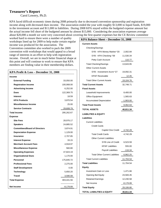# **Treasurer's Report**

Carol Lowery, Ph.D.

KPA faced difficult economic times during 2008 primarily due to decreased convention sponsorship and registration income along with decreased dues income. The association ended the year with roughly \$13,000 in liquid funds, \$19,000 in the investment account and \$11,000 in liabilities. During 2008 KPA stayed within the budgeted expense amount but the actual income fell short of the budgeted amount by almost \$15,000. Considering the association expenses average about \$20,000 a month we were very concerned about covering the first quarter expenses but the CE Review committee

worked hard to ensure there were a number of quality workshops lined up for 2009 to help make certain regular income was produced for the association. The Convention committee also worked to pack the 2009 convention with workshops that would appeal to a broad range of interests in an effort to help with registration income. Overall, we are in much better financial shape at this point and will continue to work to ensure that KPA members are finding value in their membership dollars.

| KPA Profit & Loss - December 31, 2008 |             |
|---------------------------------------|-------------|
| <b>Income</b>                         |             |
| <b>External Funding</b>               | 33,050.00   |
| <b>Registration Income</b>            | 100,068.00  |
| <b>Advertising Income</b>             | 6,252.00    |
| <b>Dues</b>                           | 122,369.75  |
| <b>Interest</b>                       | 18.59       |
| <b>KPA Products</b>                   | 3,870.54    |
| Miscellaneous Income                  | 25.00       |
| <b>Service Contracts</b>              | 29,608.79   |
| <b>Total Income</b>                   | 295,262.67  |
| <b>Expense</b>                        |             |
| <b>Site Fees</b>                      | 28,976.17   |
| <b>Speakers</b>                       | 24,885.52   |
| <b>Committees/Board of Directors</b>  | 3,874.91    |
| <b>Depreciation Expense</b>           | 1,129.00    |
| <b>Insurance</b>                      | 2,707.85    |
| <b>Interest Expense</b>               | 33.15       |
| <b>Merchant Account Fees</b>          | 4,918.97    |
| <b>Miscellaneous Expense</b>          | 560.80      |
| <b>Operating Expenses</b>             | 47,824.19   |
| <b>Organizational Dues</b>            | 1,170.00    |
| <b>Personnel</b>                      | 175,845.72  |
| <b>Professional Fees</b>              | 2,275.00    |
| <b>Staff Development</b>              | 0.00        |
| <b>Technology</b>                     | 5,650.20    |
| <b>Travel</b>                         | 3,590.08    |
| <b>Total Expense</b>                  | 303,441.56  |
| Net Income                            | $-8,178.89$ |
|                                       |             |

| KPA Balance Sheet – December 31, 2008    |             |
|------------------------------------------|-------------|
| <b>Current Assets</b>                    |             |
| Checking/Savings                         |             |
| SYB - KPA Money Market *20               | 2,002.84    |
| SYB - KPA Checking *39                   | 11,530.34   |
| Petty Cash Account                       | 110.77      |
| <b>Total Checking/Savings</b>            | 13,643.95   |
| <b>Other Current Assets</b>              |             |
| SYB - Investment Accnt *27               | 19,092.31   |
| <b>KPAF Receivable</b>                   | 12.45       |
| <b>Total Other Current Assets</b>        | 19,104.76   |
| <b>Total Current Assets</b>              | 32,748.71   |
| <b>Fixed Assets</b>                      |             |
| Leasehold Improvements                   | 8,400.00    |
| Office Equipment                         | 1,565.63    |
| <b>Accumulated Depreciation</b>          | $-1,903.00$ |
| <b>Total Fixed Assets</b>                | 8,062.63    |
| <b>TOTAL ASSETS</b>                      | 40,811.34   |
| <b>LIABILITIES &amp; EQUITY</b>          |             |
| <b>Liabilities</b>                       |             |
| <b>Current Liabilities</b>               |             |
| <b>Credit Cards</b>                      |             |
| Capitol One Credit 4,742.29              |             |
| <b>Total Credit Cards</b>                | 4,742.29    |
| <b>Other Current Liabilities</b>         |             |
| SYB Line of Credit                       | 6,523.59    |
| <b>KPAF Liabilities</b>                  | 555.00      |
| Payroll Liabilities                      | -116.34     |
| Total Other Current Liabilities 6,962.25 |             |
| <b>Total Current Liabilities</b>         | 11,704.54   |
| <b>Total Liabilities</b>                 | 11,704.54   |
| <b>Equity</b>                            |             |
| <b>Investment Gain or Loss</b>           | 1,471.66    |
| <b>Opening Bal Equity</b>                | 23,583.45   |
| <b>Retained Earnings</b>                 | 12,230.58   |
| Net Income                               | $-8,178.89$ |
| <b>Total Equity</b>                      | 29,106.80   |
| <b>TOTAL LIABILITIES &amp; EQUITY</b>    | 40,811.34   |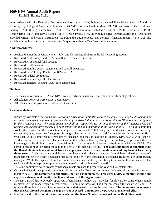## **2009 KPA Annual Audit Report**

David E. Hanna, Ph.D.

In accordance with the Kentucky Psychological Association (KPA) bylaws, an annual financial audit of KPA and the Kentucky Psychological Association Foundation (KPAF) was completed on March 19, 2009 and covered the fiscal year, January 1, 2008 through December 31, 2008. The Audit Committee included Art Shechet, Ph.D., Gordie Betts, Ph.D., Debbie Hino, Ph.D. and David Hanna, Ph.D. Leslie Proasi, KPA Interim Executive Director/Director of Operations provided written and verbal instructions regarding the audit process and pertinent financial records. She was also available throughout the audit to answer specific questions about office financial procedures.

#### **Audit Procedures:**

- Audited the months of January, April, July, and November, 2008 from the KPA checking account.
- Reviewed KPA money market. All months were reviewed in detail.
- Reviewed KPA mutual fund account.
- Reviewed KPAF account.
- Reviewed monthly deposit statements and payroll expenses.
- Reviewed Pass Through Funds from KPA to KPAF.
- Reviewed Federal tax returns.
- Reviewed separate payroll folder for staff.
- Reviewed merchant account (credit card statements)

#### **Findings:**

- The financial records for KPA and KPAF were clearly marked and all receipts were in chronological order.
- All balances for KPA were correct upon review.
- All balances and deposits for KPAF were also accurate.

#### **Recommendations:**

- KPA's bylaws state "*The President-Elect of the Association shall also oversee the annual audit of the Association by an audit committee composed of three members of the Association, not currently serving as Directors and designated by the President-Elect. The audit committee shall be responsible for an annual review of the financial record of receipts and expenditures incurred in connection with the administration of the Association".* The audit committee would like to note that the association's budget now exceeds \$200,000 per year, that diverse revenue streams (e.g., convention, dues, grants, etc.) support this budget, that the association has had four employees during the past fiscal year each with a somewhat different benefit package, and that, in addition to salaries, KPA pays a wide range of vendors for services rendered. The audit committee believes that psychologists are unlikely to possess either the knowledge or the skills to conduct financial audits of as large and diverse organizations as KPA and KPAF. The current process might be better thought of as a review of financial records. **The audit committee recommends that the Board obtain a financial audit from an appropriately credentialed auditor or auditing firm at least every three years.** Such an audit could insure compliance with relevant state and federal laws related to non-profit management, review office financial procedures, and verify the association's financial resources are appropriately managed. While the expense of such an audit is not included in this year's budget, the committee further notes that such an audit is perhaps most appropriate at a time of transition in the office staff.
- The audit committee notes favorably that accountants are used to prepare the year-end tax statements.
- Current bylaws do not provide an active role for the KPA Treasurer to review the books of the organization on a monthly basis. **The committee recommends that, at a minimum, the Treasurer review a monthly income and expense statement and monitor the financial health of the organization.**
- The KPA Board has previously approved a bereavement policy that provides for flowers or some other suitable memorial gift be made when a member dies. No amount, however, has been designated for such a gift and KPA office staff are left to determine the amount to be designated on a case by case basis. **The committee recommends that the KPA Board designate a range or "not to exceed" amount for the purpose of memorial gifts**.
- For future audits, **the committee recommends that the Batch Number be marked on the Bank Statement**.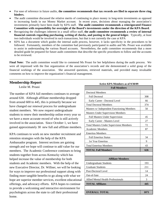- For ease of reference in future audits, **the committee recommends that tax records are filed in separate three ring binders.**
- The audit committee discussed the relative merits of continuing to place money in long-term investments as opposed to increasing funds in our Money Market account. In recent years, decisions about managing the association's investments primarily have been made by KPA staff. **The audit committee recommends a reinvigorated Finance Committee with responsibility for oversight of the Board's investments under the direction of the KPA Board**.
- Recognizing the challenges inherent in a small office staff, **the audit committee recommends a review of internal financial controls regarding purchasing, writing of checks, and posting to the general ledger.** Typically, at least two individuals would be involved in such transactions, but that is not currently the case at KPA
- KPA has a document which guides the internal audit process, however, it lacks specificity in the procedures to be followed. Fortunately, members of the committee had previously participated in audits and Ms. Proasi was available to assist in understanding the various Board accounts. Nevertheless, the audit committee recommends that a more detailed guide be prepared for future audit committees that describe the specific procedures to follow and the accounts to be reviewed.

**Final Note:** The audit committee would like to commend Ms Proasi for her helpfulness during the audit process. We were all impressed with the fine organization of the association's records and she demonstrated a solid grasp of the financial workings of the association. She answered questions, retrieved materials, and provided many invaluable comments on how to improve the organization's financial management.

# **Membership Report**

Leslie M. Proasi

The number of KPA full members continues to average around 630. Although affiliate membership dropped from around 600 to 445, this is primarily because we have changed our renewal process for undergraduate student members. We now request undergraduate students to renew their membership online every year so we have a more accurate record of who is still actively involved in the association. Since October 1, we have gained approximately 30 new full and affiliate members.

KPA continues to work on new member recruitment and retention strategies with the help of the KPA Ambassador program. Interest sections are gaining strength and we hope will continue to add value for our members. The Academic Conference continues to bring students together from across Kentucky which has helped increase the value of membership for both students and Academic members. With the help of the new Executive Director, Dr. Willner, we will be looking for ways to improve our professional support along with finding more tangible benefits to go along with what we hope are superior member services, excellent educational offerings, and advocacy efforts. KPA hopes to continue to provide a welcoming and interactive environment for psychologists across the state to call their professional home.

| <b>Active KPA Members as of 9/30/09</b>        |      |  |
|------------------------------------------------|------|--|
| <b>Full Members</b>                            |      |  |
| <b>Doctoral Members</b>                        |      |  |
| <b>Full Doctoral</b>                           | 308  |  |
| Early Career - Doctoral Level                  | 66   |  |
| <b>Total Doctoral Members</b>                  | 374  |  |
| Masters w/ Independent Functioning Members     | 50   |  |
| <b>Masters Under Supervision Members</b>       |      |  |
| <b>Full Masters Under Supervision</b>          | 45   |  |
| Early Career - Masters Level                   | 27   |  |
| <b>Total Masters Under Supervision Members</b> | 72   |  |
| <b>Academic Members</b>                        | 87   |  |
| <b>Emeritus Members</b>                        |      |  |
| <b>Full Emeritus Status</b>                    | 34   |  |
| 1st Year Emeritus                              | 9    |  |
| <b>Total Emeritus Members</b>                  | 43   |  |
| <b>TOTAL Full Members</b>                      | 626  |  |
|                                                |      |  |
| <b>Affiliate Members</b>                       |      |  |
| <b>Undergraduate Students</b>                  | 193  |  |
| <b>Graduate Students</b>                       | 211  |  |
| Post-Doctoral Level                            | 14   |  |
| Out-of-Sate                                    | 24   |  |
| Allied Mental Health Professionals             | 3    |  |
| <b>TOTAL Affiliates</b>                        | 445  |  |
|                                                |      |  |
| <b>OVERALL TOTAL</b>                           | 1071 |  |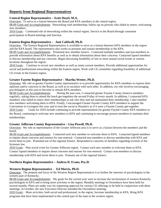# **Reports from Regional Representatives**

## **Central Region Representative – Scott Doyel, M.A.**

Overview: To serve as a liaison between the Board and KPA members in the central region.

08-09 Goals and Accomplishments: Networking with membership; follow-up on persons who failed to renew; welcoming new members.

2010 Goals : Continued role of networking within the central region. Service to the Board through consistent participation in Board meetings and function.

#### **Eastern Region Representative - Joni Caldwell, Ph.D.**

Overview: The Eastern Regional Representative is available to serve as a liaison between KPA members in the region and the KPA board. The representative also works to promote and sustain membership in the KPA.

08-09 Goals and Accomplishments: Promoted new member listserv. Contacted multiple members and non-members to provide information about KPA benefits as well as to obtain information about their concerns. Contacted lapsed members to discuss membership and any concerns. Began discussing feasibility of one or more annual social events at various locations throughout the region.

2010 Goals : Continue to recruit new members as well as retain current members. Provide additional opportunities for social and professional networking within the Eastern region. Work with CE committee regarding feasibility of additional CE events in the Eastern region.

## **Greater Fayette Region Representative – Martha Wetter, Ph.D.**

Overview: My role as greater Fayette County representative is to provide opportunities for KPA members to express their opinions and/or concerns to the Board, as well as to socialize with each other. In addition, my role involves encouraging psychologists in this area to become or remain KPA members.

08-09 Goals and Accomplishments: During the past year, I contacted greater Fayette County listserve members regularly, asking them to attend the lunch get-togethers the second Friday of every month. In addition, I contacted KPA members who failed to renew their memberships to ask why they had not maintained their membership. I also emailed new members welcoming them to KPA. Finally, I encouraged Greater Fayette County KPA members to support the Convention in Lexington this year and to treat the social at Natasha's as if it were a Fayette County get-together. 2010 Goals : Goals for 2010 include continuing to provide representation for greater Fayette County KPA members to the Board, continuing to welcome new members to KPA and continuing to encourage present members to maintain their memberships.

## **Greater Jefferson County Representative – Lisa Powell, Ph.D.**

Overview: My role as representative of the Greater Jefferson area is to serve as a liaison between the members and the board.

08-09 Goals and Accomplishments: Contacted each new member to welcome them to KPA. Contacted lapsed members to inquire about concerns and reasons for non-renewal. Contacted non-members to discuss membership with KPA and invite them to join. Promoted use of the regional listserv. Responded to concerns of members regarding revision of the licensure law.

2010 Goals : Plan social event for Greater Jefferson region. Contact each new member to welcome them to KPA. Contact lapsed members to inquire about concerns and reasons for non-renewal. Contact non-members to discuss membership with KPA and invite them to join. Promote use of the regional listserv.

## **Northern Region Representative – Andrea D. Evans, Psy.D.**

#### **Western Region Representative - Ed Morris, Ph.D.**

Overview: The purpose and focus of the Western Region Representative is to further the interests of psychologists in the western part of Kentucky.

08-09 Goals and Accomplishments: My goals for the current year were to increase the involvement of western Kentucky psychologists in KPA and to bring more activities to the region. Monthly meetings in Owensboro have been held for several months. Plans are under way for requesting approval for various CE offerings to be held in conjunction with these meetings. In October, the new Executive Director attended the Owensboro meeting.

2010 Goals : More activities, both social and professional, in the region. Increase membership in KPA. Bring KPA programs that have been implemented in the central part of the state to the western region.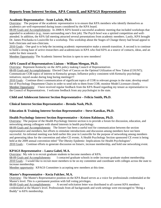# **Reports from Interest Section, APA Council, and KPAGS Representatives**

#### **Academic Representative - Scott LaJoie, Ph.D.**

Overview: The purpose of the academic representative is to ensure that KPA members who identify themselves as academics are well-represented during issues considered by the KPA board.

08-09 Goals and Accomplishments: In 2008-9, KPA hosted a successful academic meeting that included workshops that appealed to academics (e.g., issues surrounding one's first job). The Psych bowl was a spirited competition and well-

attended. In addition, the KPA fall meeting attracted several presentations from academic members. Lastly, KPA brought Dr. James Prochaska to Louisville for a workshop. This workshop about the Stages of Change theory had broad appeal to both clinicians and non-clinicians.

2010 Goals : One goal is to help the incoming academic representative make a smooth transition. A second is to continue to build a strong base of active researchers and academicians in KPA who find KPA as a source of contacts, ideas, and an outlet for their research.

Member Opportunity: The Academic Interest Section is open to new members!

## **APA Council of Representatives Liaison – William Meegan, Ph.D.**

Overview: Represent Kentucky on the APA policy making Council of Representatives

08-09 Goals and Accomplishments: Elected Chair of Caucus on the Optimal Utilization of New Talent (COUNT); Communicate COR topics of interest to Kentucky groups; Influence policy consistent with Kentucky psychology initiatives; staved awake during long boring meetings!!!

2010 Goals : Continue direct communication of significant topics of COR to relevant groups in the state; develop email list of Psychology Department Chairs in order to send info to them from COR; monitor Model Licensure closely. Member Opportunity: I have received regular feedback from the KPA Board regarding my tenure as representative to the Council of Representatives. I welcome feedback from any psychologist in the state.

## **Child and Adolescent Interest Section Representative – Felicia Smith, Ph.D.**

## **Clinical Interest Section Representative – Brenda Nash, Ph.D.**

#### **Education & Training Interest Section Representative – Steve Katsikas, Ph.D.**

#### **Health Psychology Interest Section Representative – Kristen Rabineau, Ph.D.**

Overview: The purpose of the Health Psychology Interest section is to provide a forum for discussion, education, and networking among colleagues with shared interests in health psychology.

08-09 Goals and Accomplishments: The listserv has been a useful tool for communication between the section representative and members, but efforts to stimulate introductions and discussion among members have not been successful. An informal meeting was held earlier this year in Louisville for the purpose of networking among members and generating ideas for the convention and other CE events. A Health Psychology Section sponsored CE event is being held at the 2009 annual convention titled "The Obesity Epidemic: Implications for Health Psychologists". 2010 Goals : Continue efforts to generate discussion on listserv, increase membership, and hold one networking event.

#### **KPAGS Representative – Laura Gabel, M.A.**

Overview:My role is to recruit graduate students to become members of KPA.

08-09 Goals and Accomplishments: I contacted graduate schools in order increase graduate student membership. 2010 Goals : I would like to recruit more members to be on my committee and coordinate with colleges across the state to increase membership.

Member opportunity: KPAGS Committee is accepting new members at this time.

#### **Master's Representative – Kecia Fulcher, M.A.**

Overview: The Master's Representative position on the KPA Board serves as a voice for professionals credentialed at the Master's level. This is a permanent position with full voting privileges.

08-09 Goals and Accomplishments: A second solicitation letter was distributed to all current KPA members credentialed at the Master's level. Professionals from all backgrounds and work-settings were encouraged to "Bring a Buddy" to KPA membership.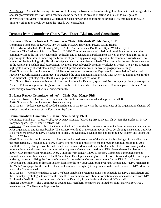2010 Goals : As I will be leaving this position following the November board meeting, I am hesitant to set the agenda for another professional; however, work continues to be needed in the area of 1) acting as a liaison to colleges and universities with Master's programs; 2)increasing social networking opportunities through KPA throughout the state; 3)more work in the schools by using the "Heads Up" curriculum.

# **Reports from Committee Chair, Task Force, Liaison, and Consultants**

#### **Business of Practice Network Committee – Chair: Elizabeth W. McKune, Ed.D.**

Committee Members: Joe Edwards, Psy.D.; Kelly McGraw Browning, Psy.D.; David Hanna

Ph.D.; Edward Marshall, Ph.D.; Andy Meyer, Ph.D.; Kate Voorhees, Psy.D.; and Ryan Wetzler, Psy.D.

Overview: The Business of Practice Network (BOPN) Committee has a dual mission of providing a resource to the community about the link between employee health and organizational performance, as well as providing a resource to psychologists about issues impacting the business of practicing psychology. Typically, the committee awards state-level winners of the Psychologically Healthy Workplace Awards on a bi-annual basis. The criteria for the awards are the same as the American Psychological Association's National Psychologically Healthy Workplace Awards. The award program highlights a variety of workplaces, large and small, profit and non-profit, in diverse geographical settings.

08-09 Goals and Accomplishments: Liz McKune serves as on the American Psychological Association Business of Practice Network Steering Committee. She attended the annual meeting and assisted with reviewing nominations for the APA National Psychologically Healthy Workplace and Best Practices Awards.

2010 Goals : Become more active in soliciting nominations for Kentucky sponsored Psychologically Healthy Workplace Awards. Return to regular meetings to ensure a viable list of candidates for the awards. Continue participation at APA level through involvement with steering committee.

## **By-Laws Review Committee (ad hoc) – Chair: Paul Hager, PhD**

Overview: No action has been necessary since the By-Laws were amended and approved in 2008. 08-09 Goals and Accomplishments: None necessary.

2010 Goals : To keep abreast of needed amendments in the By-Laws as the requirements of the organization change. Of particular need is a review of the Foundation By-Laws.

## **Communications Committee - Chair: Sean Reilley, Ph.D.**

Committee Members: Chuck Webb, PsyD; Angela Lucas, (KPAGS); Brenda Nash, Ph.D.; Jennifer Burleson, Psy.D.; Tony Sheppard, Psy.D.; Irene Kostiwa (KPAGS)

Overview: The current focus is of the Communication Committee is to enhance communications between and among the KPA organization and its membership. The primary workload of the committee involves developing and sending out KPA E-Newsletters, preparing KPA's flagship periodical, the Kentucky Psychologist, and creating new content and updates to the KPA Website.

08-09 Goals and Accomplishments: Prepared and edited two issues of the Kentucky Psychologist for distribution to the memberships. Created regular KPA e-Newsletter series as a more efficient and regular communication tool. As a result, the KY Psychologist will be distributed twice a year (March and September) which is both a cost saving and a more environmentally sensitive communication approach. Created and distributed KPA E-newsletters by blast email to 2000+ KPA members approximately every 2-months from January, 2009 to present. Completed a thorough content evaluation and usability analysis of the KPA website. Developed a catalog of website corrections and updates and began updating and standardizing the format of content for the website. Created new content for the KPA Early Career Psychologists, including on-line application forms for the new ECP Mentoring program. Created new "KPA Members in the Media" webpages for the Public Education Committee to highlight the print and radio contributions of KPA Members across the Commonwealth.

2010 Goals : Complete updates to KPA Website. Establish a rotating submission schedule for KPA E-newsletters and the Kentucky Psychologist to increase the breadth of communications about information and events associated with KPA. Explore the feasibility of designing and printing the Kentucky Psychologist with Central Office staff.

Member opportunity: The Committee is open to new members. Members are invited to submit material for KPA enewsletter and The Kentucky Psychologist.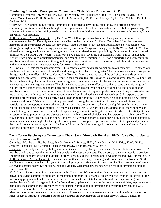#### **Continuing Education Development Committee – Chair: Kaveh Zamanian, Ph.D.**

Committee Members: Amy Wendell, Psy.D.; Elisa Wetzler, Psy.D.; Heather Auton, Psy.D.; Melissa Boyles, Ph.D.; Laurie Mount Grimes, Ph.D.; Steve Stratton, Ph.D.; Sean Reilley, Ph.D.; Lisa Cheney, Psy.D.; Nate Mitchell, Ph.D.; Lily Cooksey, M.A.

Overview: The Continuing Education Committee is dedicated to developing, facilitating, and offering a range of continuing education presentations throughout each year to students and professionals within the field of psychology. We strive to be in tune with the training needs of practitioners in the field, and respond to these requests with meaningful and appropriate CE offerings.

08-09 Goals and Accomplishments: 1.) Dr. Amy Wendell stepped down from the Chair position, but remains a committee member. 2.) Recently welcomed new Chair to the committee, Dr. Kaveh Zamanian. 3.) Added two new members to the committee: Dr. Lisa Cheney and Dr. Nate Mitchell. 4.) Developed and facilitated a wide range of CE offerings throughout 2009, including presentations by Prochaska (Stages of Change) and Kelly Wilson (ACT). We also offered a year-long webinar series focusing on various topics related to neuropsychology. Other areas of focus included trainings on the MMPI-2-RF, WAIS-IV and WMS-IV, Basic and Advanced Supervision, APAIT/Ethics, Therapeutic Action: From Empathy to Countertransference, and Mindfulness Meditation. 5.) Met on a quarterly basis with committee members, as well as communicated throughout the year via committee listserv. 6.) Recently held brainstorming meeting with committee members to generate ideas for 2010 and beyond.

2010 Goals : Goals for the upcoming year: 1. to continue offering quality workshops to our members. 2. to extend our reach beyond the primary hubs of Louisville and Lexington in order to offer greater CE access to our members. As part of this goal we hope to offer a "Mini-conference" in Bowling Green sometime toward the end of spring/ early summer period in order to offer CE events that are required for licensure (e.g. ethics) as well as other relevant topics. We hope that this is the beginning of an event that can be on a regionally rotating calendar. 3. The Webinar series have been successful and seem to generate ongoing revenue. Therefore we hope to continue to offer such series, expand the topic range and explore other distance-learning opportunities such as using video conferencing or recording of didactic sessions for members who wish to purchase the workshop. 4. to widen our reach to regional professionals and bring experts who can increase the range of topics and more importantly expand our local audience and revenue base. 5. In response to our practicing professionals who consistently have asked for more "practical" experience, we plan to propose a new format where an additional 1.5 hours of CE training is offered following the presentation. This way for an additional fee participants get an opportunity to work more closely with the presenter on a selected case(s). We see this as a chance to conceptualize and discuss case material in a more substantial way. 6. We are also considering an extended supervisionconsultation group format. We envision local experts on a given topic holding 6-8 sessions in which 5-6 participants have an opportunity to present cases and discuss their work with a seasoned clinician who has expertise in a given area. This way our practitioners can continue their development in a way that is more suited to their individual needs and potentially more relevant and meaningful for their professional growth. 7. We plan to generate an active list of topics and presenters that could serve as an ongoing resource for future CE events. Our long-term goal is to have a schedule of events for at least one, or possibly two years in advance.

#### **Early Career Psychologists Committee – Chair: Sarah Morsbach Honaker, Ph.D.; Vice Chair: Jessica Beal Korhonen, Psy.D.**

Committee Members: Heather Bass, Psy.D., Melissa A. Boyles, Ph.D., Anna Duncan, M.S., Kristy Keefe, Ph.D., Jennifer Richardson, M.A., Jemma Rosen-Webb, Psy.D., Lynn Rosenzweig, Psy.D.

Overview: The Early Career Psychologists committee caters to psychologists and master's level clinicians who are KPA members and have earned their terminal degree within the past seven years. The purpose of the committee is to provide resources and support for these individuals in order to encourage their professional development and involvement in KPA. 08-09 Goals and Accomplishments: Increased committee membership, including added representation from the Northern and Eastern regions; launched pilot year of mentorship program – five participating pairs; facilitated formation of one peer supervision group; hosted two social events; individually welcomed new members via e-mail; informational table at Convention 2009.

2010 Goals : Recruit committee members from the Central and Western regions; host at least one social event and one networking event; continue to facilitate the mentorship program; collect and evaluate feedback from the pilot year of the mentorship program and make revisions as needed; continue to facilitate the formation of peer supervision groups as needed; launch Facebook page and pilot for 6-month run; update webpage to reflect our current activities; explore ways to help guide ECPs through the licensure process; distribute professional information and resources pertinent to ECPs; evaluate the role of the ECP committee in new member recruitment.

Member opportunity: We want to get to know you! Please contact committee members at any time with your needs or ideas, or just to introduce yourself! You can also address all ECP members via the list-serv (KPAECP@kpa.org).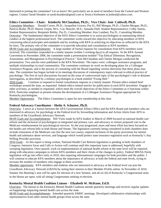Interested in joining the committee? Let us know! We particularly are in need of members from the Central and Western regions. Contact Sarah Honaker at sarah.honaker@gmail.com or Jessica Korhonen at jesbeal@yahoo.com.

#### **Ethics Committee – Chair: Kimberly McClanahan, Ph.D.; Vice Chair: Joni Caldwell, Ph.D.**

Committee Members: Donald Crowe, Ph.D.; Jacqueline Graven, Psy.D.; Bill Meegan, Ph.D.; Charles Morgan, Ph.D.; Patricia Burke, Ph.D; Sharon Turpin, M.S.; Cay Shawler, M.S.; Amanda Duff, Student Representative; Colby Sutton, Student Representative; Benjamin Birkby, Psy.D., Consulting Member; Ken Lombart, Psy.D., Consulting Member. Overview: The fundamental objective of the KPA Ethics Committee is to assist psychologists in maintaining ethical conduct at the highest professional level. The committee works toward this objective by educating members of KPA concerning ethical principles and standards and by working with KPA in achieving its objectives as reflected in the KPA by-laws. The primary role of the committee is to provide education and consultation to KPA members. 08-09 Goals and Accomplishments: A large number of formal requests for consultation from KPA members were received. The committee responded in a timely manner (within 5 working days) to all requests. At the KPA Annual Convention in November 2008, the committee made a presentation entitled "Top Ethical Dilemmas: Recognition, Assessment, and Management in Psychological Practice." Kim McClanahan and Charles Morgan conducted the presentation. Two articles were published in the KPA Newsletter. The topics were: colleague assistance programs, and multiple relationships in rural communities. The committee continues its work on developing plans for a Colleague Assistance Program, and is the process of consulting with the Board regarding various directions that these plans may take. The committee has begun include in its meetings discussion of contemporary topics relevant to ethical practice of psychology. The first of such discussions focused on the issue of controversial topic of the psychologist's role in detainee interrogation, as described by a military psychologist in a book entitled "Fixing Hell."

2010 Goals : Continue to respond to formal consultation requests in a timely manner. Present ethics-related brief workshops around the state, as requested. Submit ethics-related articles for publication in each KPA newsletter. Engage in other activities, as needed or requested, which meet the overall objectives of the Ethics Committee as it functions within KPA. Particular emphasis at present remains the development of a Colleague Assistance Program appropriate for Kentucky psychologists.

Member Opportunity: The Ethics Committee is open for new membership at this time.

#### **Federal Advocacy Coordinator - Sheila A. Schuster, Ph.D.**

Overview: I serve as a liaison between the APA Governmental Affairs Office and the KPA Board and members who are interested in advocacy for psychology at the Federal level by forwarding information and Action Alerts from APA to members of the GrassRoots Advocacy Network.

08-09 Goals and Accomplishments: Hill Visits made by KPA leaders in March of 2009 focused on national health care reform and the inclusion of psychologists in integrated and primary care, and advocacy to restore proposed cuts to the Medicare reimbursement for psychological services. As the year progressed, more and more effort has been focused on the health care reform bills in both House and Senate. The legislation currently being considered in both chambers does include restoration of the Medicare cuts (for the next two years), required inclusion of the parity provisions for mental health and substance abuse services, and language which would protect state insurance regulation such as Kentucky's Any Willing Provider provision.

2010 Goals : As this report is being written, National Health Care Reform legislation is pending in both chambers of Congress. Intensive focus and Calls to Action will continue until this important issue is addressed, hopefully with sweeping legislation. Once passed, work on implementation of national health reform at the state level will be required, along with education campaigns to inform KPA members and their clients of the changes in policy. Federal MH/SA Parity legislation will go into effect early in 2010, also requiring informational campaigns for both providers and the public. I will continue to educate KPA members about the importance of advocacy at both the federal and state levels, trying to increase the number of members who engage in these activities.

Member opportunity: KPA members and students who are interested in advocacy at the Federal level can join the GrassRoots Advocacy Network (GRAN) by noting their interest in their Member Profile online. In November of 2010, Senator Jim Bunning's seat will be open for election of a new Senator, and all six (6) of Kentucky's Congressional seats in the House are open, with all sitting Congressmen seeking re-election.

#### **Kentucky Mental Health Coalition Liaison - Elizabeth W. McKune, Ed.D.**

Overview: The liaison to the Kentucky Mental Health Coalition attends quarterly meetings and receives regular updates on happenings impacting mental health care across the state.

08-09 Goals and Accomplishments: Attended quarterly KMHC meetings. Developed collaborative relationships with representatives from other mental health groups from across the state.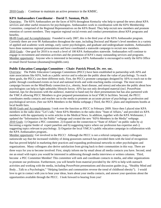2010 Goals : Continue to maintain an active presence in the KMHC.

#### **KPA Ambassadors Coordinator - David T. Susman, Ph.D.**

Overview: The KPA Ambassadors are the faces of KPA throughout Kentucky who help to spread the news about KPA services and other useful resources for psychologists. Ambassadors work in coordination with the KPA Membership Committee, comprised of the Regional Representatives on the KPA Board. They help recruit new members and promote retention of current members. They organize regional social events and conduct presentations about KPA programs and benefits.

08-09 Goals and Accomplishments: Founded in early 2007, this is the third year of the KPA Ambassador program. Currently there are over 90 Ambassadors throughout the state, including Doctoral and Master's level members in a variety of applied and academic work settings, early career psychologists, and graduate and undergraduate students. Ambassadors have done numerous regional presentations and have coordinated a statewide campaign to recruit new members. 2010 Goals : One goal for 2010 is to reach a level of 100 KPA Ambassadors statewide. Ambassadors will continue to engage in recruitment and retention activities and the promotion of KPA's many outstanding services and programs. Member opportunity: Anyone who is interested in becoming a KPA Ambassador is encouraged to notify the KPA Office or email David Susman (dsusman@insightbb.com).

#### **Public Education Campaign Committee – Chair: Patrick Pössel, Dr. rer. soc.**

Overview: The Public Education Campaign Committees (PECC) have been established in partnership with APA and state associations like KPA, both as a public service and to educate the public about the value of psychology. To reach these goals, the PECCs use three different tools. First, the PECCs promote campaigns designed by APA to reach out to the public through coordinated events on local and national levels and wide-reaching media coverage. The most recent campaign focuses on the Mind/Body connection (i.e., obesity, heart disease, and stress) and educates the public about how psychologists can help to fight unhealthy lifestyle forces. APA has not only developed material (incl. PowerPoint material, tips for discussions with the audience, material to hand out) for short presentations but has also partnered with the YMCA allowing PECC Members to give prepared presentations in local YMCA facilities. Second, the PECC coordinates media contacts and reaches out to the media to promote an accurate picture of psychology as profession and psychological services. (See our KPA Members in the Media webpage.) Third, the PECC plans and implements booths at local health fairs.

08-09 Goals and Accomplishments: I took over the function as PECC in February 2009. Since then I placed nine KPA members in the radio show "Let's talk," three KPA-Members in the radio show "State of Affairs," and provided six KPA members with the opportunity to write articles in the Medical News. In addition, together with the KPA Webmaster, I updated the "Information for the Public" webpage and created the new "KPA-Members in the Media" webpage. 2010 Goals: 1) Organize a PEC committee. 2) Expand on the connection to "State of Affairs" on public radio by a) becoming a regular feeder of expert panelists and b) suggesting topics where our profession has expertise and c) suggesting topics relevant to psychology. 3) Organize the local YMCA's public education campaign in collaboration with the KPA Ambassadors program..

Member opportunity: Get involved in the PECC! Although the PECC is not a referral campaign, many colleagues nationwide say that the increased visibility of doing grassroots outreach has provided them with the kind of recognition that has proved helpful in marketing their practices and expanding professional networks to other psychologists and organizations. Many colleagues also derive satisfaction from giving back to their communities in this way. There are three ways for you to become involved: First, simply inform me by email about all media contacts you have. Second, send me an email with topics you would be interested in addressing through media interviews or written columns. Third, become a PEC Committee Member! This committee will seek and coordinate contacts to media, and other organizations to promote our profession. Furthermore, you will benefit from material provided by the APA to help with outreach activities and working with the media, including PowerPoint presentations and discussion guides (e.g., "Healthy Mind and Body…Talk to a Psychologist," "Helping families and communities reverse the trend of childhood obesity"). I would love to get in contact with you to hear your ideas, learn about your media contacts, and answer your questions about the opportunities available through the PECC. I look forward to hearing from you!